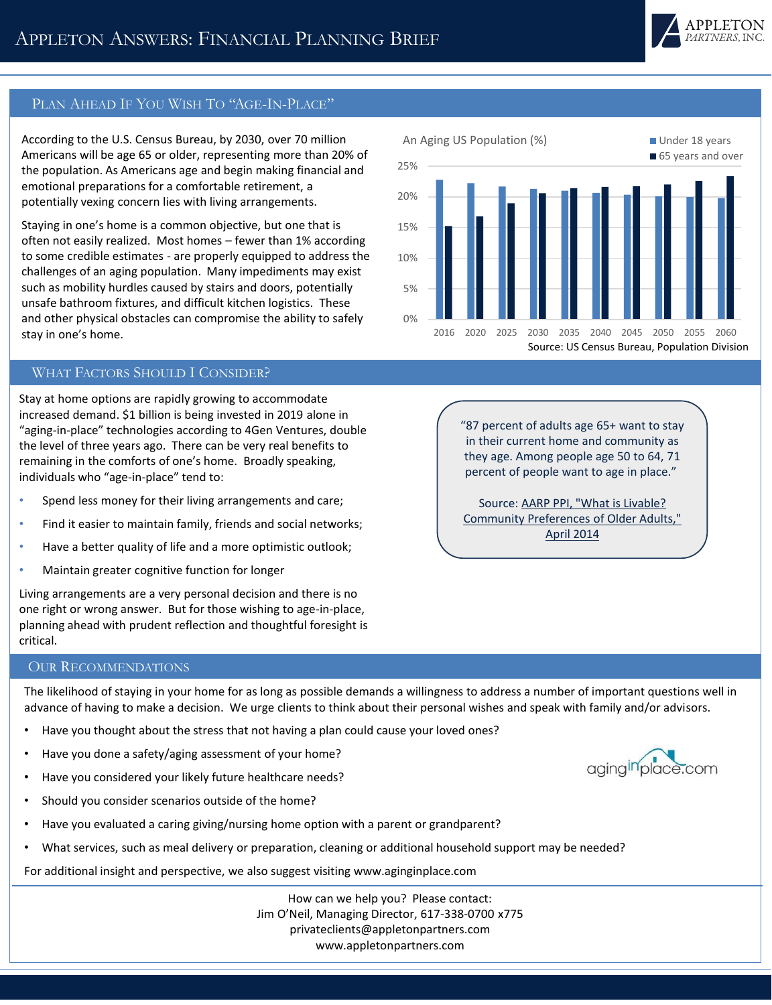

65 years and over

## PLAN AHEAD IF YOU WISH TO "AGE-IN-PLACE"

According to the U.S. Census Bureau, by 2030, over 70 million Americans will be age 65 or older, representing more than 20% of the population. As Americans age and begin making financial and emotional preparations for a comfortable retirement, a potentially vexing concern lies with living arrangements.

Staying in one's home is a common objective, but one that is often not easily realized. Most homes – fewer than 1% according to some credible estimates - are properly equipped to address the challenges of an aging population. Many impediments may exist such as mobility hurdles caused by stairs and doors, potentially unsafe bathroom fixtures, and difficult kitchen logistics. These and other physical obstacles can compromise the ability to safely stay in one's home.

## WHAT FACTORS SHOULD I CONSIDER?

Stay at home options are rapidly growing to accommodate increased demand. \$1 billion is being invested in 2019 alone in "aging-in-place" technologies according to 4Gen Ventures, double the level of three years ago. There can be very real benefits to remaining in the comforts of one's home. Broadly speaking, individuals who "age-in-place" tend to:

- Spend less money for their living arrangements and care;
- Find it easier to maintain family, friends and social networks;
- Have a better quality of life and a more optimistic outlook;
- Maintain greater cognitive function for longer

Living arrangements are a very personal decision and there is no one right or wrong answer. But for those wishing to age-in-place, planning ahead with prudent reflection and thoughtful foresight is critical.

"87 percent of adults age 65+ want to stay in their current home and community as they age. Among people age 50 to 64, 71 percent of people want to age in place."

2016 2020 2025 2030 2035 2040 2045 2050 2055 2060

Source: US Census Bureau, Population Division

An Aging US Population (%) **Under 18 years** 

Source: AARP PPI, "What is Livable? [Community Preferences of Older Adults,"](https://www.aarp.org/livable-communities/info-2014/aarp-ppi-survey-what-makes-a-community-livable.html)  April 2014

## OUR RECOMMENDATIONS

The likelihood of staying in your home for as long as possible demands a willingness to address a number of important questions well in advance of having to make a decision. We urge clients to think about their personal wishes and speak with family and/or advisors.

0%

5%

10%

15%

20%

25%

- Have you thought about the stress that not having a plan could cause your loved ones?
- Have you done a safety/aging assessment of your home?
- Have you considered your likely future healthcare needs?
- Should you consider scenarios outside of the home?
- Have you evaluated a caring giving/nursing home option with a parent or grandparent?
- What services, such as meal delivery or preparation, cleaning or additional household support may be needed?

For additional insight and perspective, we also suggest visiting www.aginginplace.com

How can we help you? Please contact: Jim O'Neil, Managing Director, 617-338-0700 x775 privateclients@appletonpartners.com www.appletonpartners.com